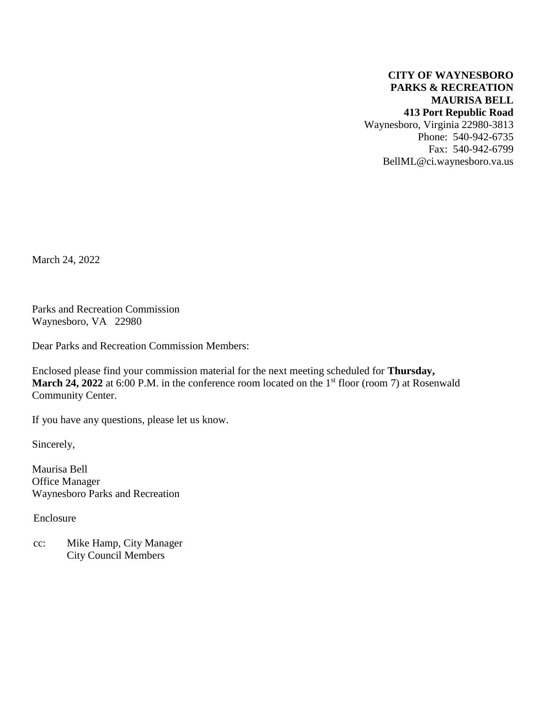### **CITY OF WAYNESBORO PARKS & RECREATION MAURISA BELL 413 Port Republic Road**

Waynesboro, Virginia 22980-3813 Phone: 540-942-6735 Fax: 540-942-6799 BellML@ci.waynesboro.va.us

March 24, 2022

Parks and Recreation Commission Waynesboro, VA 22980

Dear Parks and Recreation Commission Members:

Enclosed please find your commission material for the next meeting scheduled for **Thursday, March 24, 2022** at 6:00 P.M. in the conference room located on the 1<sup>st</sup> floor (room 7) at Rosenwald Community Center.

If you have any questions, please let us know.

Sincerely,

Maurisa Bell Office Manager Waynesboro Parks and Recreation

Enclosure

 cc: Mike Hamp, City Manager City Council Members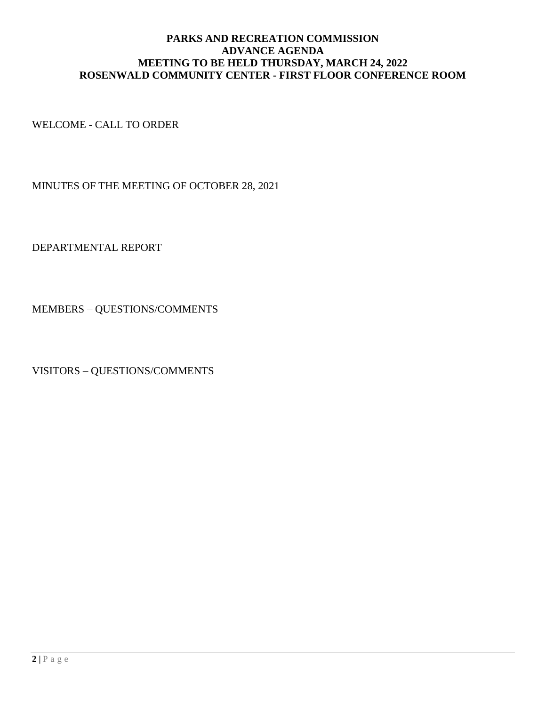### **PARKS AND RECREATION COMMISSION ADVANCE AGENDA MEETING TO BE HELD THURSDAY, MARCH 24, 2022 ROSENWALD COMMUNITY CENTER - FIRST FLOOR CONFERENCE ROOM**

WELCOME - CALL TO ORDER

MINUTES OF THE MEETING OF OCTOBER 28, 2021

DEPARTMENTAL REPORT

MEMBERS – QUESTIONS/COMMENTS

VISITORS – QUESTIONS/COMMENTS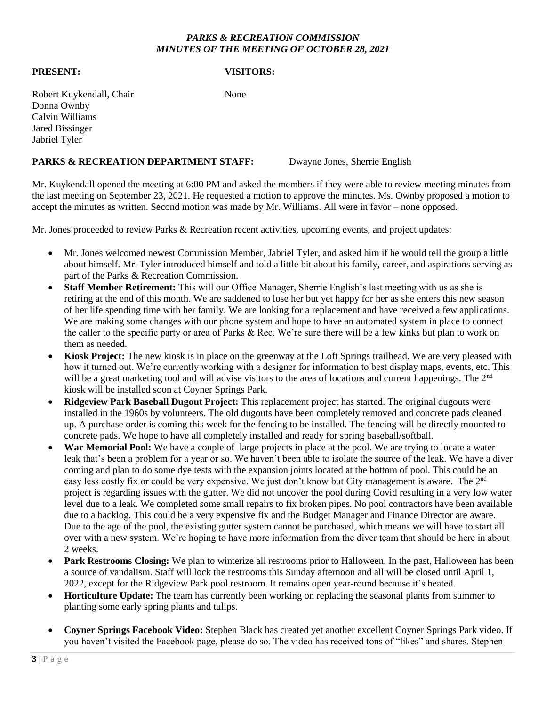#### *PARKS & RECREATION COMMISSION MINUTES OF THE MEETING OF OCTOBER 28, 2021*

#### **PRESENT: VISITORS:**

Robert Kuykendall, Chair None Donna Ownby Calvin Williams Jared Bissinger Jabriel Tyler

#### PARKS & RECREATION DEPARTMENT STAFF: Dwayne Jones, Sherrie English

Mr. Kuykendall opened the meeting at 6:00 PM and asked the members if they were able to review meeting minutes from the last meeting on September 23, 2021. He requested a motion to approve the minutes. Ms. Ownby proposed a motion to accept the minutes as written. Second motion was made by Mr. Williams. All were in favor – none opposed.

Mr. Jones proceeded to review Parks & Recreation recent activities, upcoming events, and project updates:

- Mr. Jones welcomed newest Commission Member, Jabriel Tyler, and asked him if he would tell the group a little about himself. Mr. Tyler introduced himself and told a little bit about his family, career, and aspirations serving as part of the Parks & Recreation Commission.
- **Staff Member Retirement:** This will our Office Manager, Sherrie English's last meeting with us as she is retiring at the end of this month. We are saddened to lose her but yet happy for her as she enters this new season of her life spending time with her family. We are looking for a replacement and have received a few applications. We are making some changes with our phone system and hope to have an automated system in place to connect the caller to the specific party or area of Parks & Rec. We're sure there will be a few kinks but plan to work on them as needed.
- **Kiosk Project:** The new kiosk is in place on the greenway at the Loft Springs trailhead. We are very pleased with how it turned out. We're currently working with a designer for information to best display maps, events, etc. This will be a great marketing tool and will advise visitors to the area of locations and current happenings. The 2<sup>nd</sup> kiosk will be installed soon at Coyner Springs Park.
- **Ridgeview Park Baseball Dugout Project:** This replacement project has started. The original dugouts were installed in the 1960s by volunteers. The old dugouts have been completely removed and concrete pads cleaned up. A purchase order is coming this week for the fencing to be installed. The fencing will be directly mounted to concrete pads. We hope to have all completely installed and ready for spring baseball/softball.
- **War Memorial Pool:** We have a couple of large projects in place at the pool. We are trying to locate a water leak that's been a problem for a year or so. We haven't been able to isolate the source of the leak. We have a diver coming and plan to do some dye tests with the expansion joints located at the bottom of pool. This could be an easy less costly fix or could be very expensive. We just don't know but City management is aware. The 2<sup>nd</sup> project is regarding issues with the gutter. We did not uncover the pool during Covid resulting in a very low water level due to a leak. We completed some small repairs to fix broken pipes. No pool contractors have been available due to a backlog. This could be a very expensive fix and the Budget Manager and Finance Director are aware. Due to the age of the pool, the existing gutter system cannot be purchased, which means we will have to start all over with a new system. We're hoping to have more information from the diver team that should be here in about 2 weeks.
- **Park Restrooms Closing:** We plan to winterize all restrooms prior to Halloween. In the past, Halloween has been a source of vandalism. Staff will lock the restrooms this Sunday afternoon and all will be closed until April 1, 2022, except for the Ridgeview Park pool restroom. It remains open year-round because it's heated.
- **Horticulture Update:** The team has currently been working on replacing the seasonal plants from summer to planting some early spring plants and tulips.
- **Coyner Springs Facebook Video:** Stephen Black has created yet another excellent Coyner Springs Park video. If you haven't visited the Facebook page, please do so. The video has received tons of "likes" and shares. Stephen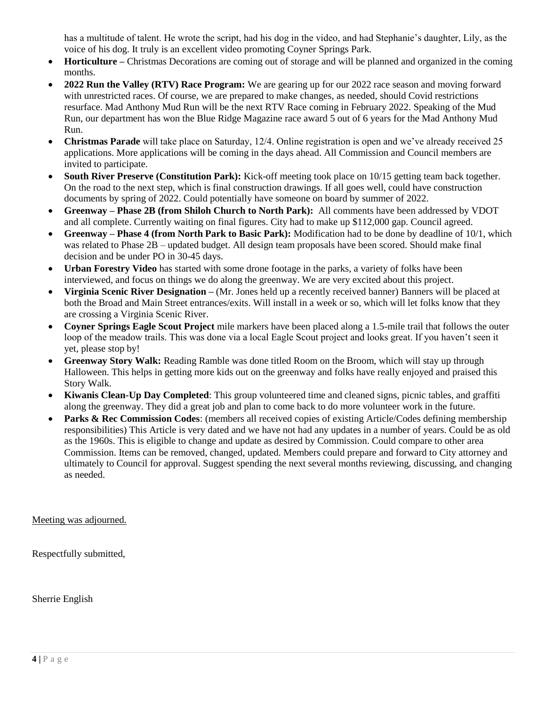has a multitude of talent. He wrote the script, had his dog in the video, and had Stephanie's daughter, Lily, as the voice of his dog. It truly is an excellent video promoting Coyner Springs Park.

- **Horticulture –** Christmas Decorations are coming out of storage and will be planned and organized in the coming months.
- **2022 Run the Valley (RTV) Race Program:** We are gearing up for our 2022 race season and moving forward with unrestricted races. Of course, we are prepared to make changes, as needed, should Covid restrictions resurface. Mad Anthony Mud Run will be the next RTV Race coming in February 2022. Speaking of the Mud Run, our department has won the Blue Ridge Magazine race award 5 out of 6 years for the Mad Anthony Mud Run.
- **Christmas Parade** will take place on Saturday, 12/4. Online registration is open and we've already received 25 applications. More applications will be coming in the days ahead. All Commission and Council members are invited to participate.
- **South River Preserve (Constitution Park):** Kick-off meeting took place on 10/15 getting team back together. On the road to the next step, which is final construction drawings. If all goes well, could have construction documents by spring of 2022. Could potentially have someone on board by summer of 2022.
- **Greenway – Phase 2B (from Shiloh Church to North Park):** All comments have been addressed by VDOT and all complete. Currently waiting on final figures. City had to make up \$112,000 gap. Council agreed.
- **Greenway – Phase 4 (from North Park to Basic Park):** Modification had to be done by deadline of 10/1, which was related to Phase 2B – updated budget. All design team proposals have been scored. Should make final decision and be under PO in 30-45 days.
- **Urban Forestry Video** has started with some drone footage in the parks, a variety of folks have been interviewed, and focus on things we do along the greenway. We are very excited about this project.
- **Virginia Scenic River Designation –** (Mr. Jones held up a recently received banner) Banners will be placed at both the Broad and Main Street entrances/exits. Will install in a week or so, which will let folks know that they are crossing a Virginia Scenic River.
- **Coyner Springs Eagle Scout Project** mile markers have been placed along a 1.5-mile trail that follows the outer loop of the meadow trails. This was done via a local Eagle Scout project and looks great. If you haven't seen it yet, please stop by!
- **Greenway Story Walk:** Reading Ramble was done titled Room on the Broom, which will stay up through Halloween. This helps in getting more kids out on the greenway and folks have really enjoyed and praised this Story Walk.
- **Kiwanis Clean-Up Day Completed**: This group volunteered time and cleaned signs, picnic tables, and graffiti along the greenway. They did a great job and plan to come back to do more volunteer work in the future.
- **Parks & Rec Commission Codes:** (members all received copies of existing Article/Codes defining membership responsibilities) This Article is very dated and we have not had any updates in a number of years. Could be as old as the 1960s. This is eligible to change and update as desired by Commission. Could compare to other area Commission. Items can be removed, changed, updated. Members could prepare and forward to City attorney and ultimately to Council for approval. Suggest spending the next several months reviewing, discussing, and changing as needed.

Meeting was adjourned.

Respectfully submitted,

Sherrie English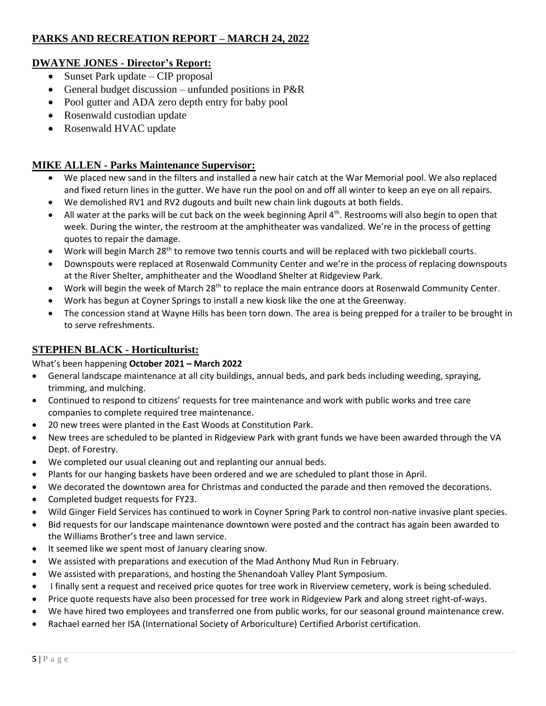# **PARKS AND RECREATION REPORT – MARCH 24, 2022**

# **DWAYNE JONES - Director's Report:**

- Sunset Park update CIP proposal
- General budget discussion unfunded positions in P&R
- Pool gutter and ADA zero depth entry for baby pool
- Rosenwald custodian update
- Rosenwald HVAC update

## **MIKE ALLEN - Parks Maintenance Supervisor:**

- We placed new sand in the filters and installed a new hair catch at the War Memorial pool. We also replaced and fixed return lines in the gutter. We have run the pool on and off all winter to keep an eye on all repairs.
- We demolished RV1 and RV2 dugouts and built new chain link dugouts at both fields.
- All water at the parks will be cut back on the week beginning April 4<sup>th</sup>. Restrooms will also begin to open that week. During the winter, the restroom at the amphitheater was vandalized. We're in the process of getting quotes to repair the damage.
- Work will begin March 28<sup>th</sup> to remove two tennis courts and will be replaced with two pickleball courts.
- Downspouts were replaced at Rosenwald Community Center and we're in the process of replacing downspouts at the River Shelter, amphitheater and the Woodland Shelter at Ridgeview Park.
- Work will begin the week of March 28<sup>th</sup> to replace the main entrance doors at Rosenwald Community Center.
- Work has begun at Coyner Springs to install a new kiosk like the one at the Greenway.
- The concession stand at Wayne Hills has been torn down. The area is being prepped for a trailer to be brought in to serve refreshments.

# **STEPHEN BLACK - Horticulturist:**

### What's been happening **October 2021 – March 2022**

- General landscape maintenance at all city buildings, annual beds, and park beds including weeding, spraying, trimming, and mulching.
- Continued to respond to citizens' requests for tree maintenance and work with public works and tree care companies to complete required tree maintenance.
- 20 new trees were planted in the East Woods at Constitution Park.
- New trees are scheduled to be planted in Ridgeview Park with grant funds we have been awarded through the VA Dept. of Forestry.
- We completed our usual cleaning out and replanting our annual beds.
- Plants for our hanging baskets have been ordered and we are scheduled to plant those in April.
- We decorated the downtown area for Christmas and conducted the parade and then removed the decorations.
- Completed budget requests for FY23.
- Wild Ginger Field Services has continued to work in Coyner Spring Park to control non-native invasive plant species.
- Bid requests for our landscape maintenance downtown were posted and the contract has again been awarded to the Williams Brother's tree and lawn service.
- It seemed like we spent most of January clearing snow.
- We assisted with preparations and execution of the Mad Anthony Mud Run in February.
- We assisted with preparations, and hosting the Shenandoah Valley Plant Symposium.
- I finally sent a request and received price quotes for tree work in Riverview cemetery, work is being scheduled.
- Price quote requests have also been processed for tree work in Ridgeview Park and along street right-of-ways.
- We have hired two employees and transferred one from public works, for our seasonal ground maintenance crew.
- Rachael earned her ISA (International Society of Arboriculture) Certified Arborist certification.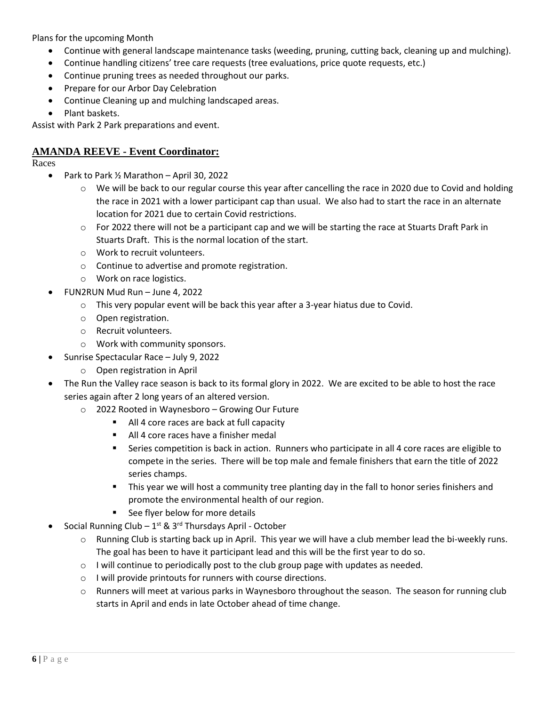Plans for the upcoming Month

- Continue with general landscape maintenance tasks (weeding, pruning, cutting back, cleaning up and mulching).
- Continue handling citizens' tree care requests (tree evaluations, price quote requests, etc.)
- Continue pruning trees as needed throughout our parks.
- Prepare for our Arbor Day Celebration
- Continue Cleaning up and mulching landscaped areas.
- Plant baskets.

Assist with Park 2 Park preparations and event.

### **AMANDA REEVE - Event Coordinator:**

Races

- Park to Park ½ Marathon April 30, 2022
	- o We will be back to our regular course this year after cancelling the race in 2020 due to Covid and holding the race in 2021 with a lower participant cap than usual. We also had to start the race in an alternate location for 2021 due to certain Covid restrictions.
	- $\circ$  For 2022 there will not be a participant cap and we will be starting the race at Stuarts Draft Park in Stuarts Draft. This is the normal location of the start.
	- o Work to recruit volunteers.
	- o Continue to advertise and promote registration.
	- o Work on race logistics.
- FUN2RUN Mud Run June 4, 2022
	- $\circ$  This very popular event will be back this year after a 3-year hiatus due to Covid.
	- o Open registration.
	- o Recruit volunteers.
	- o Work with community sponsors.
- Sunrise Spectacular Race July 9, 2022
	- o Open registration in April
- The Run the Valley race season is back to its formal glory in 2022. We are excited to be able to host the race series again after 2 long years of an altered version.
	- o 2022 Rooted in Waynesboro Growing Our Future
		- All 4 core races are back at full capacity
		- All 4 core races have a finisher medal
		- Series competition is back in action. Runners who participate in all 4 core races are eligible to compete in the series. There will be top male and female finishers that earn the title of 2022 series champs.
		- **■** This year we will host a community tree planting day in the fall to honor series finishers and promote the environmental health of our region.
		- See flyer below for more details
- Social Running Club  $-1^{st}$  & 3<sup>rd</sup> Thursdays April October
	- $\circ$  Running Club is starting back up in April. This year we will have a club member lead the bi-weekly runs. The goal has been to have it participant lead and this will be the first year to do so.
	- $\circ$  I will continue to periodically post to the club group page with updates as needed.
	- o I will provide printouts for runners with course directions.
	- o Runners will meet at various parks in Waynesboro throughout the season. The season for running club starts in April and ends in late October ahead of time change.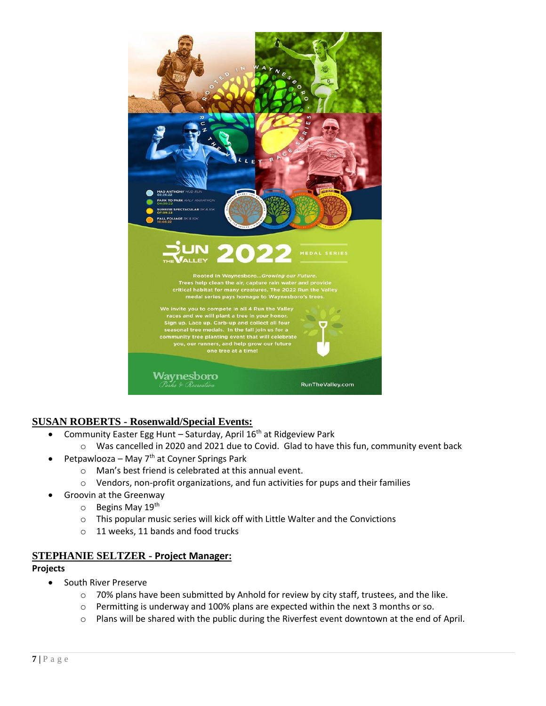

### **SUSAN ROBERTS - Rosenwald/Special Events:**

- Community Easter Egg Hunt Saturday, April  $16<sup>th</sup>$  at Ridgeview Park
	- o Was cancelled in 2020 and 2021 due to Covid. Glad to have this fun, community event back
- Petpawlooza May  $7<sup>th</sup>$  at Coyner Springs Park
	- o Man's best friend is celebrated at this annual event.
	- o Vendors, non-profit organizations, and fun activities for pups and their families
- Groovin at the Greenway
	- $\circ$  Begins May 19<sup>th</sup>
	- o This popular music series will kick off with Little Walter and the Convictions
	- o 11 weeks, 11 bands and food trucks

#### **STEPHANIE SELTZER - Project Manager:**

#### **Projects**

- South River Preserve
	- o 70% plans have been submitted by Anhold for review by city staff, trustees, and the like.
	- $\circ$  Permitting is underway and 100% plans are expected within the next 3 months or so.
	- o Plans will be shared with the public during the Riverfest event downtown at the end of April.